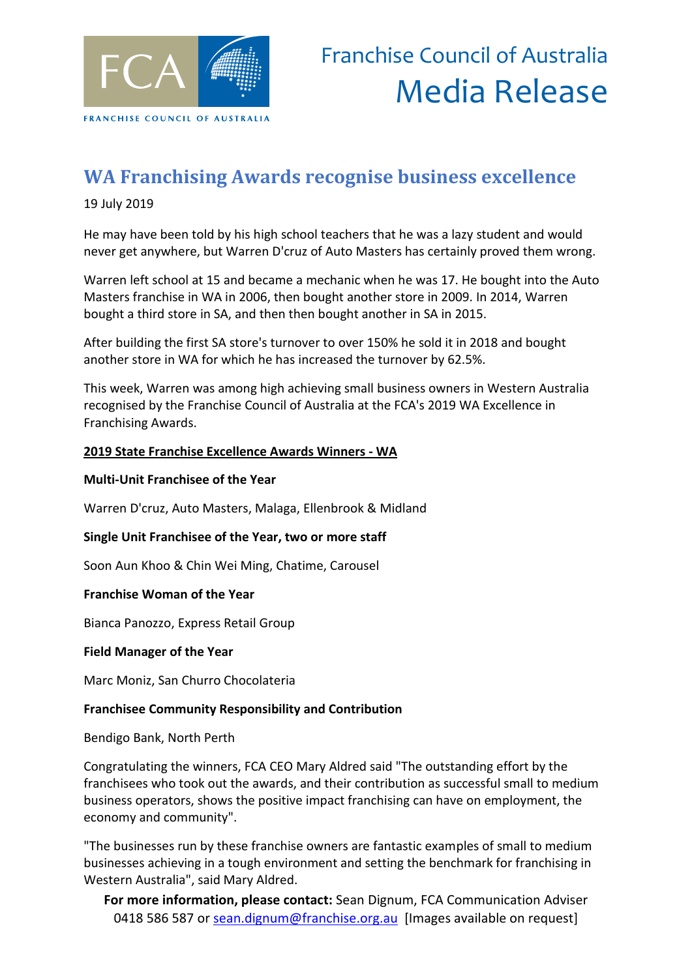

## **WA Franchising Awards recognise business excellence**

19 July 2019

He may have been told by his high school teachers that he was a lazy student and would never get anywhere, but Warren D'cruz of Auto Masters has certainly proved them wrong.

Warren left school at 15 and became a mechanic when he was 17. He bought into the Auto Masters franchise in WA in 2006, then bought another store in 2009. In 2014, Warren bought a third store in SA, and then then bought another in SA in 2015.

After building the first SA store's turnover to over 150% he sold it in 2018 and bought another store in WA for which he has increased the turnover by 62.5%.

This week, Warren was among high achieving small business owners in Western Australia recognised by the Franchise Council of Australia at the FCA's 2019 WA Excellence in Franchising Awards.

#### **2019 State Franchise Excellence Awards Winners - WA**

#### **Multi-Unit Franchisee of the Year**

Warren D'cruz, Auto Masters, Malaga, Ellenbrook & Midland

#### **Single Unit Franchisee of the Year, two or more staff**

Soon Aun Khoo & Chin Wei Ming, Chatime, Carousel

#### **Franchise Woman of the Year**

Bianca Panozzo, Express Retail Group

#### **Field Manager of the Year**

Marc Moniz, San Churro Chocolateria

### **Franchisee Community Responsibility and Contribution**

Bendigo Bank, North Perth

Congratulating the winners, FCA CEO Mary Aldred said "The outstanding effort by the franchisees who took out the awards, and their contribution as successful small to medium business operators, shows the positive impact franchising can have on employment, the economy and community".

"The businesses run by these franchise owners are fantastic examples of small to medium businesses achieving in a tough environment and setting the benchmark for franchising in Western Australia", said Mary Aldred.

**For more information, please contact:** Sean Dignum, FCA Communication Adviser 0418 586 587 or [sean.dignum@franchise.org.au](mailto:sean.dignum@franchise.org.au) [Images available on request]